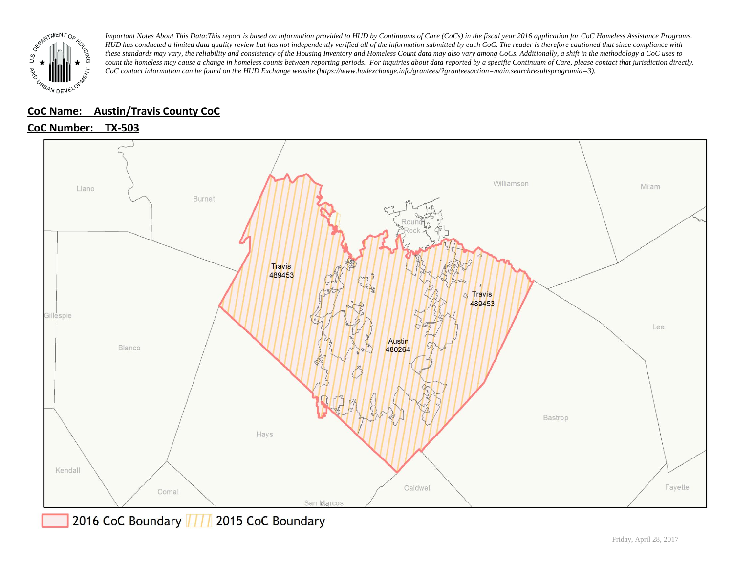

# **CoC Name: \_\_ Austin/Travis County CoC**

# **CoC Number: TX-503**



2016 CoC Boundary 777 2015 CoC Boundary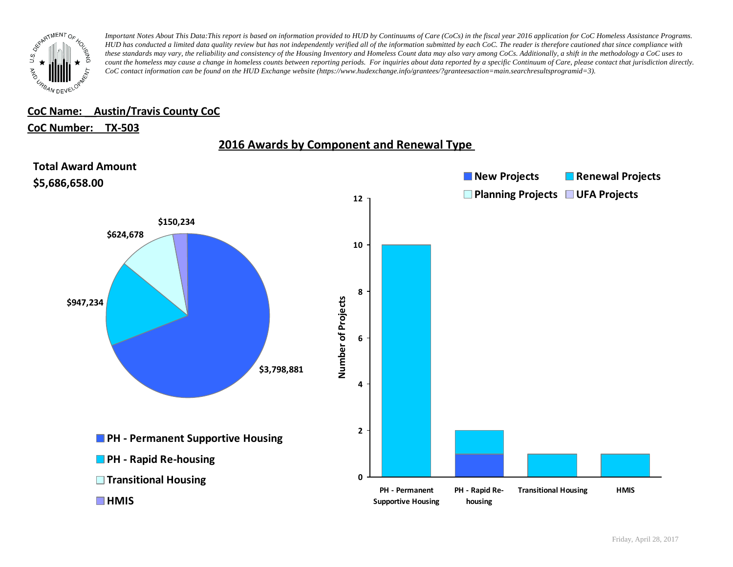

### **CoC Name: \_\_ Austin/Travis County CoC**

#### **CoC Number: TX-503**



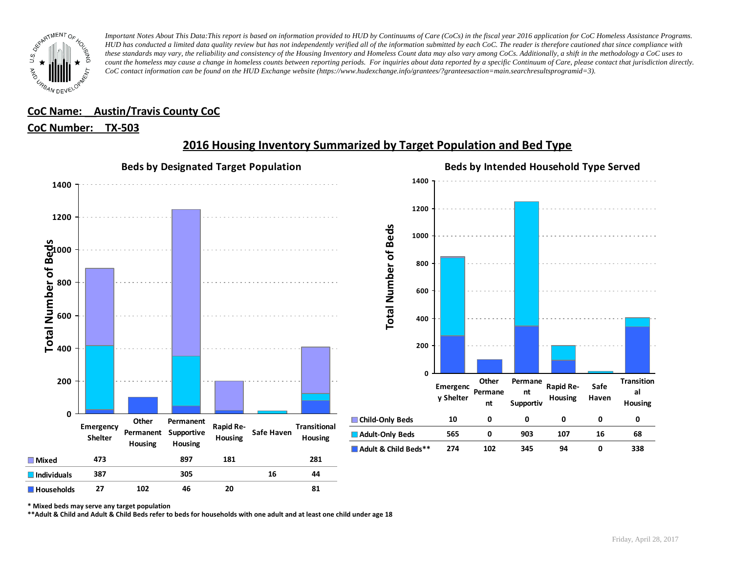

# **CoC Name: \_\_ Austin/Travis County CoC**

#### **CoC Number: TX-503**



# **2016 Housing Inventory Summarized by Target Population and Bed Type**

**\* Mixed beds may serve any target population**

**\*\*Adult & Child and Adult & Child Beds refer to beds for households with one adult and at least one child under age 18**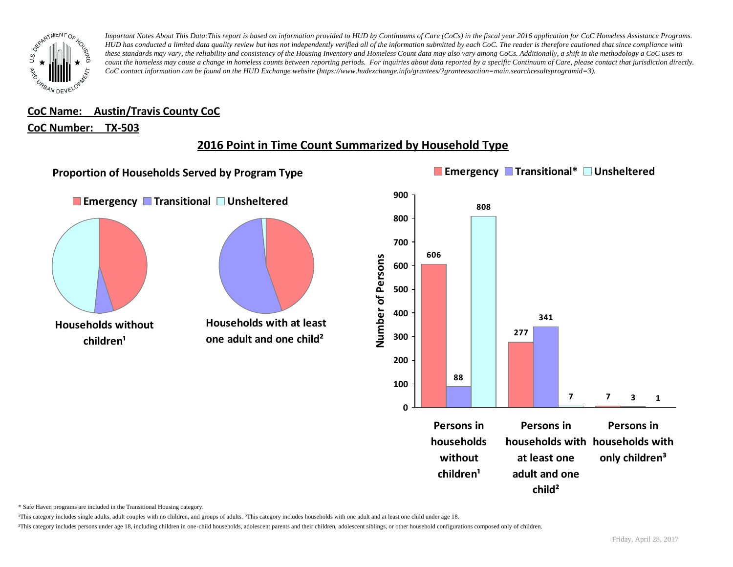

**CoC Name: \_\_ Austin/Travis County CoC**

#### **CoC Number: TX-503**

# **2016 Point in Time Count Summarized by Household Type**



\* Safe Haven programs are included in the Transitional Housing category.

¹This category includes single adults, adult couples with no children, and groups of adults. ²This category includes households with one adult and at least one child under age 18.

<sup>3</sup>This category includes persons under age 18, including children in one-child households, adolescent parents and their children, adolescent siblings, or other household configurations composed only of children.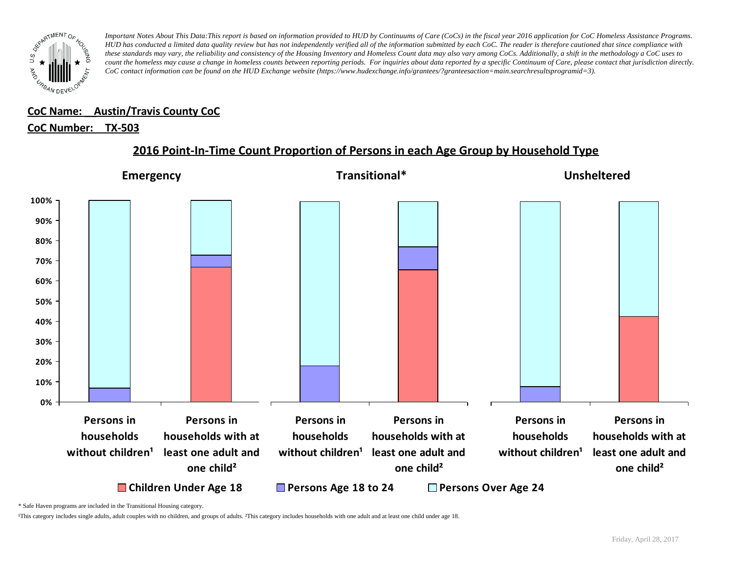

#### **CoC Name: \_\_ Austin/Travis County CoC** ¹This category includes single adults, adult couples with no children, and groups of adults. ²This category includes households with one adult and at least one child under age 18.

# <u>CoC Number: TX-503</u>

# **2016 Point-In-Time Count Proportion of Persons in each Age Group by Household Type**



\* Safe Haven programs are included in the Transitional Housing category.

¹This category includes single adults, adult couples with no children, and groups of adults. ²This category includes households with one adult and at least one child under age 18.